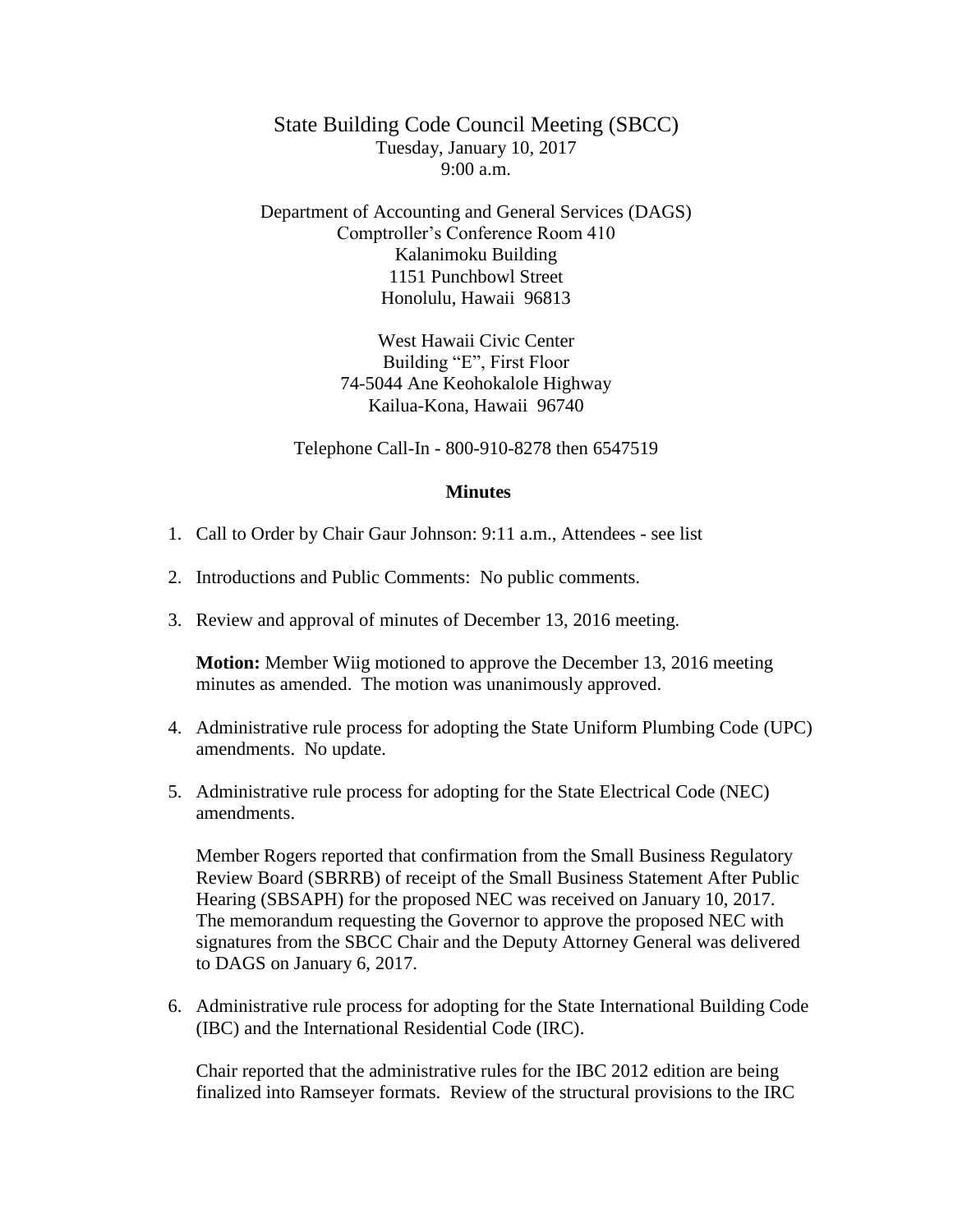State Building Code Council Meeting (SBCC) Tuesday, January 10, 2017  $9:00 a.m.$ 

Department of Accounting and General Services (DAGS) Comptroller's Conference Room 410 Kalanimoku Building 1151 Punchbowl Street Honolulu, Hawaii 96813

> West Hawaii Civic Center Building "E", First Floor 74-5044 Ane Keohokalole Highway Kailua-Kona, Hawaii 96740

Telephone Call-In - 800-910-8278 then 6547519

## **Minutes**

- 1. Call to Order by Chair Gaur Johnson: 9:11 a.m., Attendees see list
- 2. Introductions and Public Comments: No public comments.
- 3. Review and approval of minutes of December 13, 2016 meeting.

**Motion:** Member Wiig motioned to approve the December 13, 2016 meeting minutes as amended. The motion was unanimously approved.

- 4. Administrative rule process for adopting the State Uniform Plumbing Code (UPC) amendments. No update.
- 5. Administrative rule process for adopting for the State Electrical Code (NEC) amendments.

Member Rogers reported that confirmation from the Small Business Regulatory Review Board (SBRRB) of receipt of the Small Business Statement After Public Hearing (SBSAPH) for the proposed NEC was received on January 10, 2017. The memorandum requesting the Governor to approve the proposed NEC with signatures from the SBCC Chair and the Deputy Attorney General was delivered to DAGS on January 6, 2017.

6. Administrative rule process for adopting for the State International Building Code (IBC) and the International Residential Code (IRC).

Chair reported that the administrative rules for the IBC 2012 edition are being finalized into Ramseyer formats. Review of the structural provisions to the IRC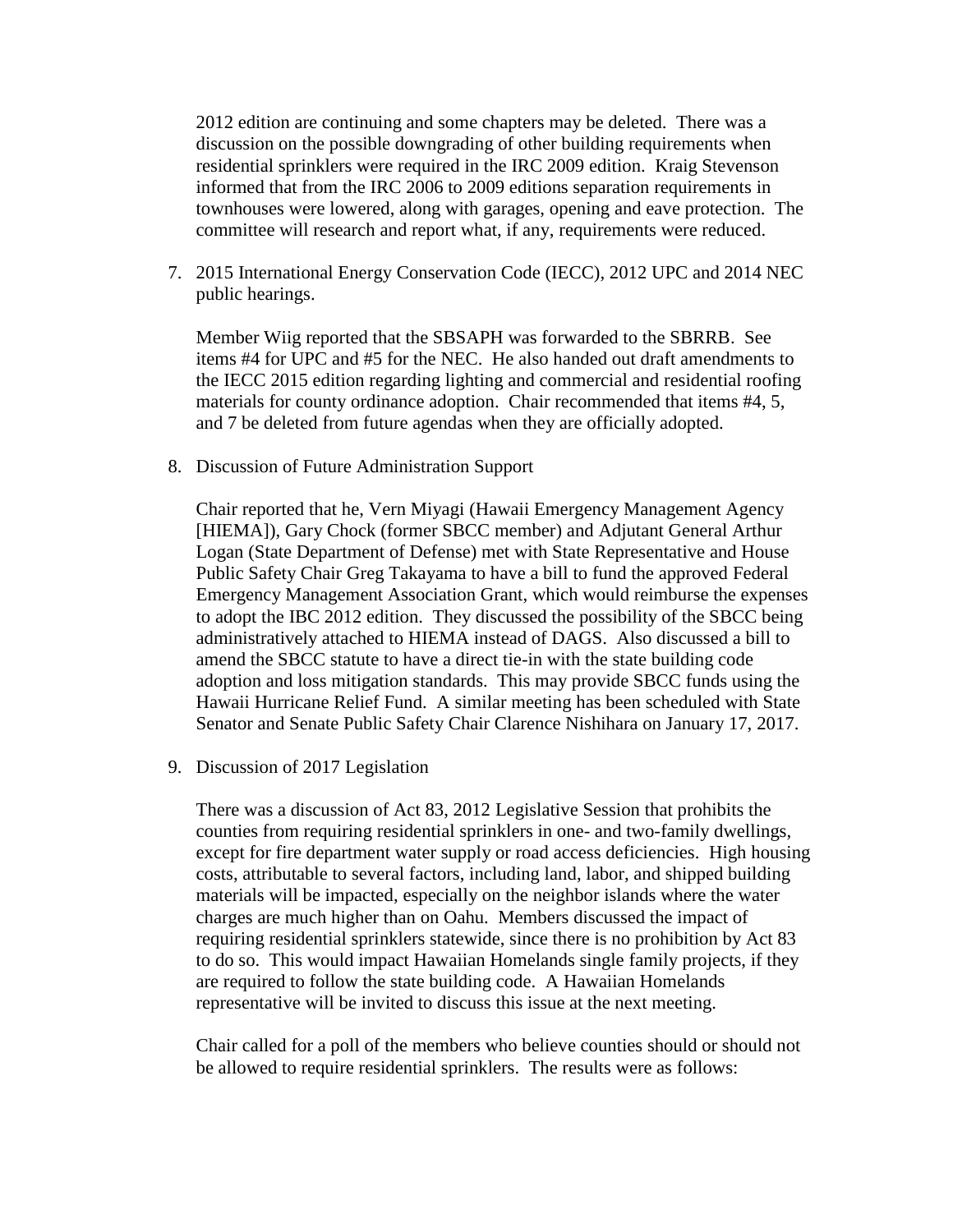2012 edition are continuing and some chapters may be deleted. There was a discussion on the possible downgrading of other building requirements when residential sprinklers were required in the IRC 2009 edition. Kraig Stevenson informed that from the IRC 2006 to 2009 editions separation requirements in townhouses were lowered, along with garages, opening and eave protection. The committee will research and report what, if any, requirements were reduced.

7. 2015 International Energy Conservation Code (IECC), 2012 UPC and 2014 NEC public hearings.

Member Wiig reported that the SBSAPH was forwarded to the SBRRB. See items #4 for UPC and #5 for the NEC. He also handed out draft amendments to the IECC 2015 edition regarding lighting and commercial and residential roofing materials for county ordinance adoption. Chair recommended that items #4, 5, and 7 be deleted from future agendas when they are officially adopted.

8. Discussion of Future Administration Support

Chair reported that he, Vern Miyagi (Hawaii Emergency Management Agency [HIEMA]), Gary Chock (former SBCC member) and Adjutant General Arthur Logan (State Department of Defense) met with State Representative and House Public Safety Chair Greg Takayama to have a bill to fund the approved Federal Emergency Management Association Grant, which would reimburse the expenses to adopt the IBC 2012 edition. They discussed the possibility of the SBCC being administratively attached to HIEMA instead of DAGS. Also discussed a bill to amend the SBCC statute to have a direct tie-in with the state building code adoption and loss mitigation standards. This may provide SBCC funds using the Hawaii Hurricane Relief Fund. A similar meeting has been scheduled with State Senator and Senate Public Safety Chair Clarence Nishihara on January 17, 2017.

9. Discussion of 2017 Legislation

There was a discussion of Act 83, 2012 Legislative Session that prohibits the counties from requiring residential sprinklers in one- and two-family dwellings, except for fire department water supply or road access deficiencies. High housing costs, attributable to several factors, including land, labor, and shipped building materials will be impacted, especially on the neighbor islands where the water charges are much higher than on Oahu. Members discussed the impact of requiring residential sprinklers statewide, since there is no prohibition by Act 83 to do so. This would impact Hawaiian Homelands single family projects, if they are required to follow the state building code. A Hawaiian Homelands representative will be invited to discuss this issue at the next meeting.

Chair called for a poll of the members who believe counties should or should not be allowed to require residential sprinklers. The results were as follows: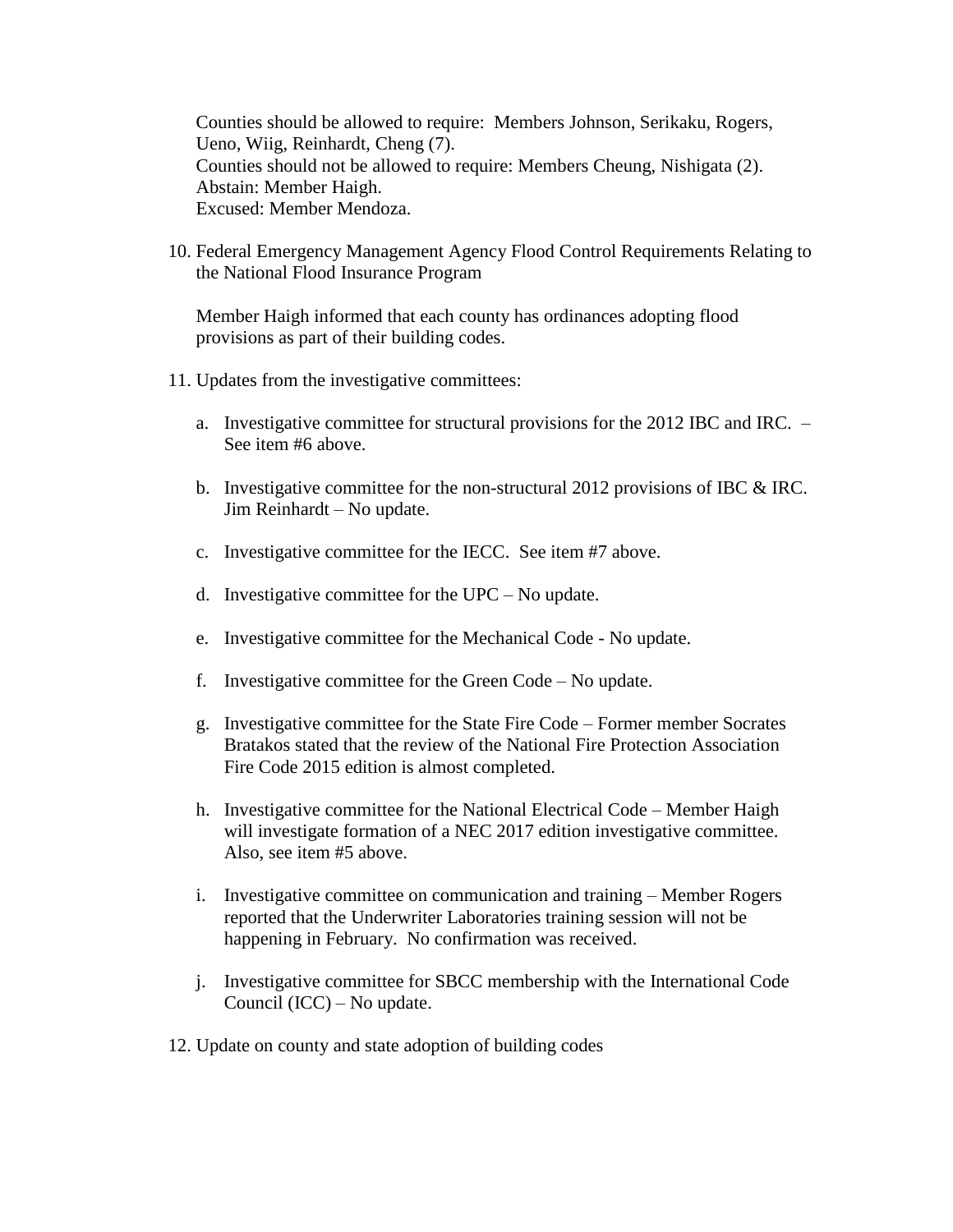Counties should be allowed to require: Members Johnson, Serikaku, Rogers, Ueno, Wiig, Reinhardt, Cheng (7). Counties should not be allowed to require: Members Cheung, Nishigata (2). Abstain: Member Haigh. Excused: Member Mendoza.

10. Federal Emergency Management Agency Flood Control Requirements Relating to the National Flood Insurance Program

Member Haigh informed that each county has ordinances adopting flood provisions as part of their building codes.

- 11. Updates from the investigative committees:
	- a. Investigative committee for structural provisions for the 2012 IBC and IRC. See item #6 above.
	- b. Investigative committee for the non-structural 2012 provisions of IBC & IRC. Jim Reinhardt – No update.
	- c. Investigative committee for the IECC. See item #7 above.
	- d. Investigative committee for the UPC No update.
	- e. Investigative committee for the Mechanical Code No update.
	- f. Investigative committee for the Green Code No update.
	- g. Investigative committee for the State Fire Code Former member Socrates Bratakos stated that the review of the National Fire Protection Association Fire Code 2015 edition is almost completed.
	- h. Investigative committee for the National Electrical Code Member Haigh will investigate formation of a NEC 2017 edition investigative committee. Also, see item #5 above.
	- i. Investigative committee on communication and training Member Rogers reported that the Underwriter Laboratories training session will not be happening in February. No confirmation was received.
	- j. Investigative committee for SBCC membership with the International Code Council (ICC) – No update.
- 12. Update on county and state adoption of building codes